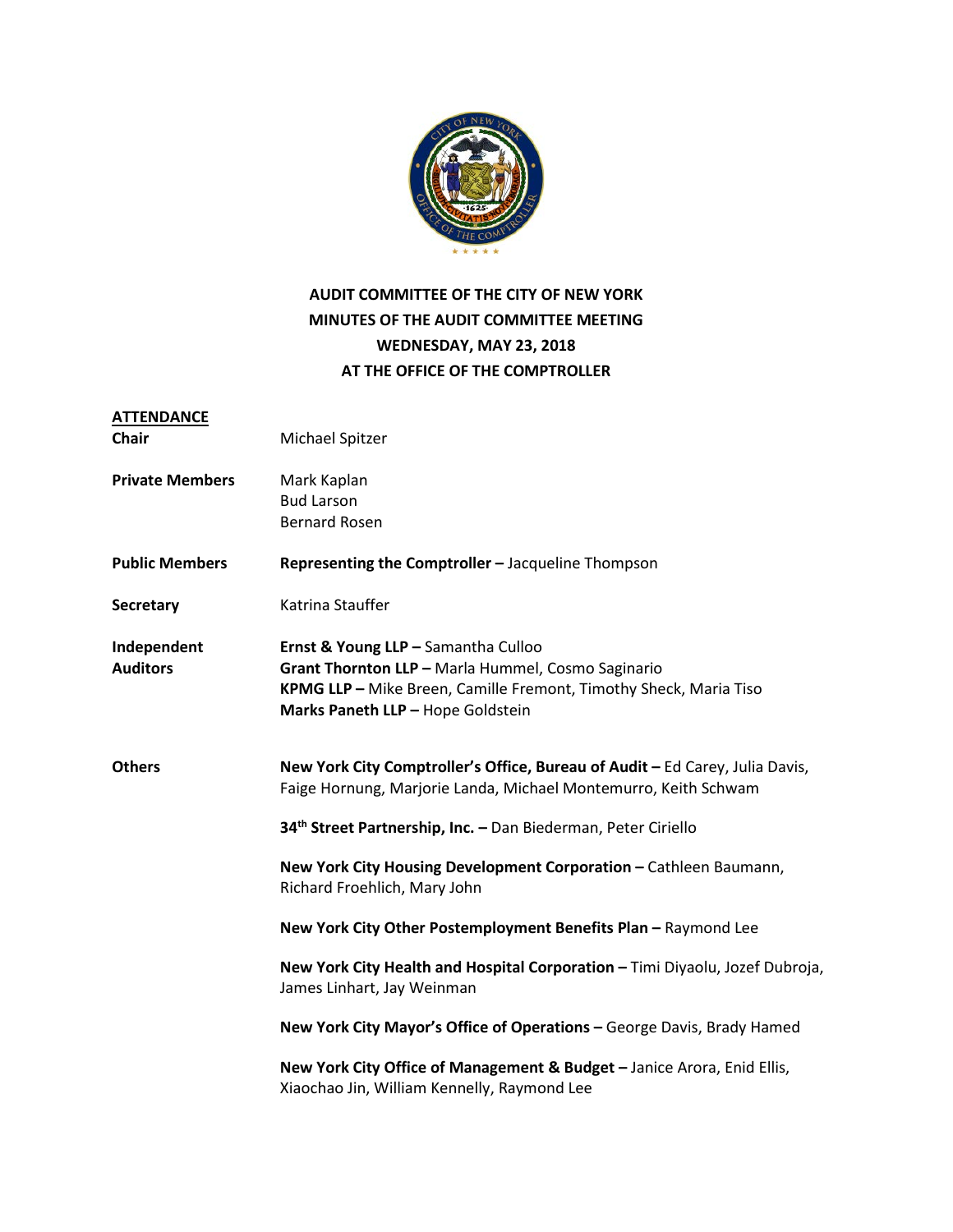

# **AUDIT COMMITTEE OF THE CITY OF NEW YORK MINUTES OF THE AUDIT COMMITTEE MEETING WEDNESDAY, MAY 23, 2018 AT THE OFFICE OF THE COMPTROLLER**

| <b>ATTENDANCE</b><br>Chair     | Michael Spitzer                                                                                                                                                                                     |
|--------------------------------|-----------------------------------------------------------------------------------------------------------------------------------------------------------------------------------------------------|
| <b>Private Members</b>         | Mark Kaplan<br><b>Bud Larson</b><br><b>Bernard Rosen</b>                                                                                                                                            |
| <b>Public Members</b>          | Representing the Comptroller - Jacqueline Thompson                                                                                                                                                  |
| <b>Secretary</b>               | Katrina Stauffer                                                                                                                                                                                    |
| Independent<br><b>Auditors</b> | Ernst & Young LLP - Samantha Culloo<br>Grant Thornton LLP - Marla Hummel, Cosmo Saginario<br>KPMG LLP - Mike Breen, Camille Fremont, Timothy Sheck, Maria Tiso<br>Marks Paneth LLP - Hope Goldstein |
| <b>Others</b>                  | New York City Comptroller's Office, Bureau of Audit - Ed Carey, Julia Davis,<br>Faige Hornung, Marjorie Landa, Michael Montemurro, Keith Schwam                                                     |
|                                | 34 <sup>th</sup> Street Partnership, Inc. - Dan Biederman, Peter Ciriello                                                                                                                           |
|                                | New York City Housing Development Corporation - Cathleen Baumann,<br>Richard Froehlich, Mary John                                                                                                   |
|                                | New York City Other Postemployment Benefits Plan - Raymond Lee                                                                                                                                      |
|                                | New York City Health and Hospital Corporation - Timi Diyaolu, Jozef Dubroja,<br>James Linhart, Jay Weinman                                                                                          |
|                                | New York City Mayor's Office of Operations - George Davis, Brady Hamed                                                                                                                              |
|                                | New York City Office of Management & Budget - Janice Arora, Enid Ellis,<br>Xiaochao Jin, William Kennelly, Raymond Lee                                                                              |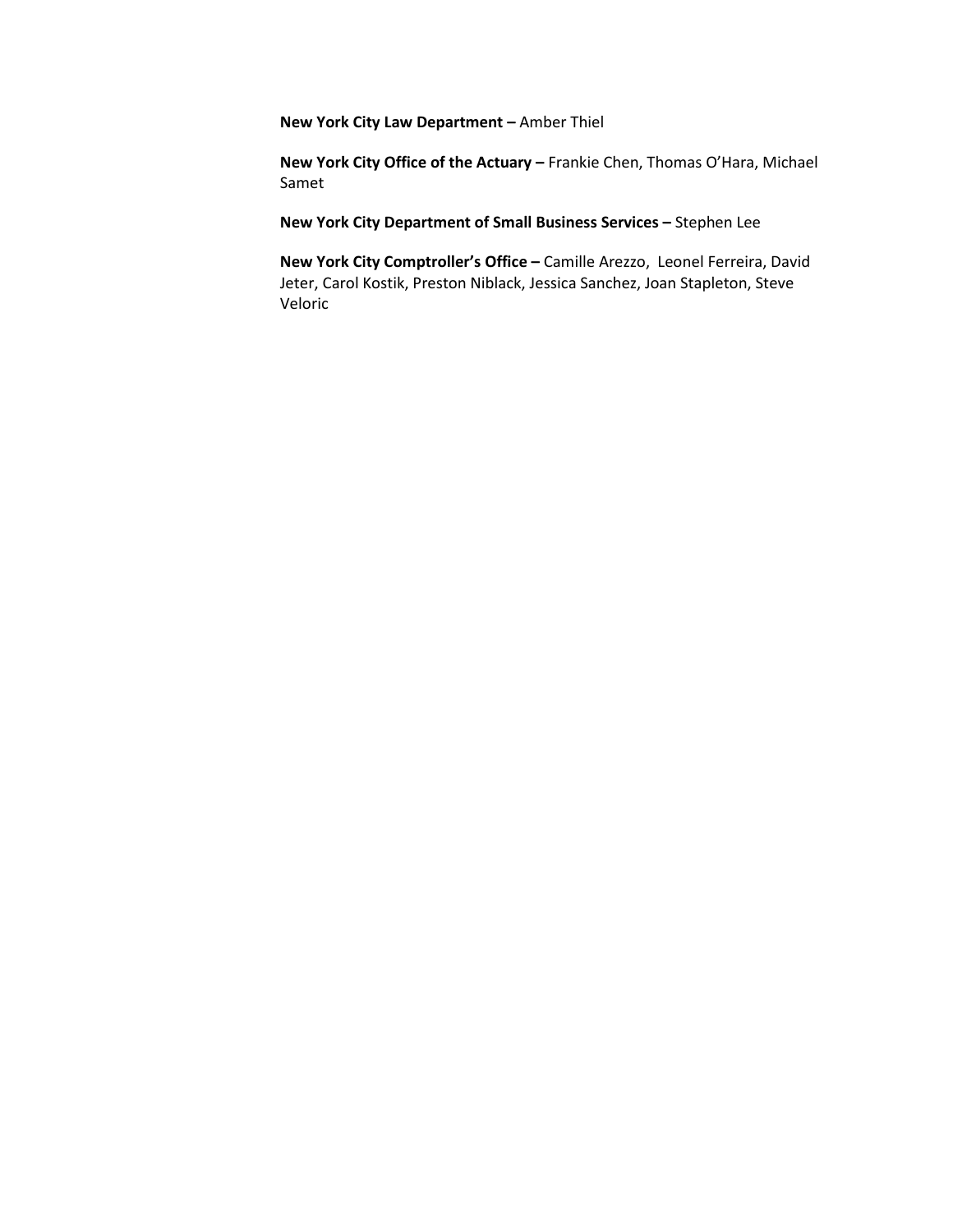**New York City Law Department –** Amber Thiel

**New York City Office of the Actuary –** Frankie Chen, Thomas O'Hara, Michael Samet

**New York City Department of Small Business Services –** Stephen Lee

**New York City Comptroller's Office –** Camille Arezzo, Leonel Ferreira, David Jeter, Carol Kostik, Preston Niblack, Jessica Sanchez, Joan Stapleton, Steve Veloric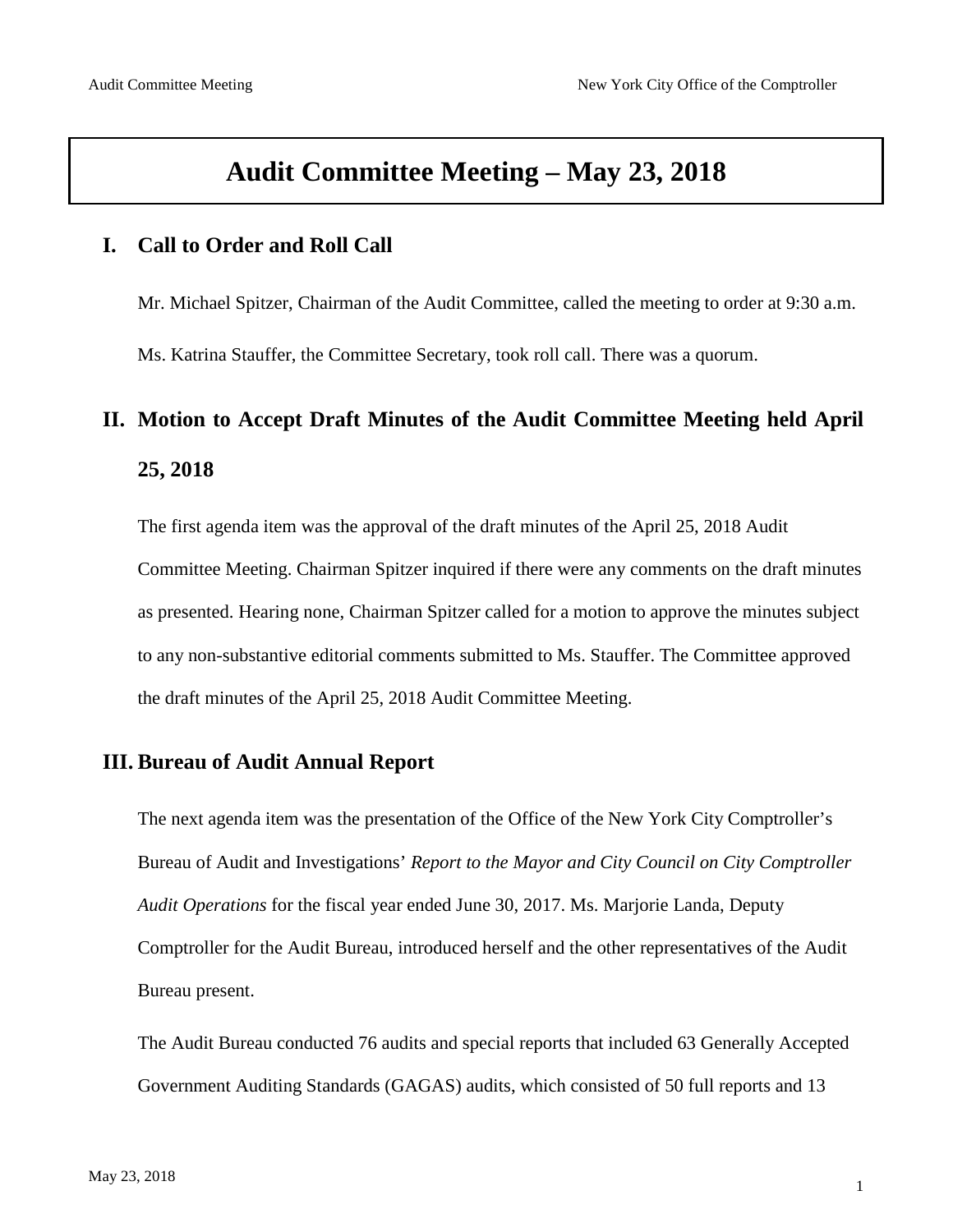# **Audit Committee Meeting – May 23, 2018**

#### **I. Call to Order and Roll Call**

Mr. Michael Spitzer, Chairman of the Audit Committee, called the meeting to order at 9:30 a.m.

Ms. Katrina Stauffer, the Committee Secretary, took roll call. There was a quorum.

# **II. Motion to Accept Draft Minutes of the Audit Committee Meeting held April 25, 2018**

The first agenda item was the approval of the draft minutes of the April 25, 2018 Audit Committee Meeting. Chairman Spitzer inquired if there were any comments on the draft minutes as presented. Hearing none, Chairman Spitzer called for a motion to approve the minutes subject to any non-substantive editorial comments submitted to Ms. Stauffer. The Committee approved the draft minutes of the April 25, 2018 Audit Committee Meeting.

#### **III. Bureau of Audit Annual Report**

The next agenda item was the presentation of the Office of the New York City Comptroller's Bureau of Audit and Investigations' *Report to the Mayor and City Council on City Comptroller Audit Operations* for the fiscal year ended June 30, 2017. Ms. Marjorie Landa, Deputy Comptroller for the Audit Bureau, introduced herself and the other representatives of the Audit Bureau present.

The Audit Bureau conducted 76 audits and special reports that included 63 Generally Accepted Government Auditing Standards (GAGAS) audits, which consisted of 50 full reports and 13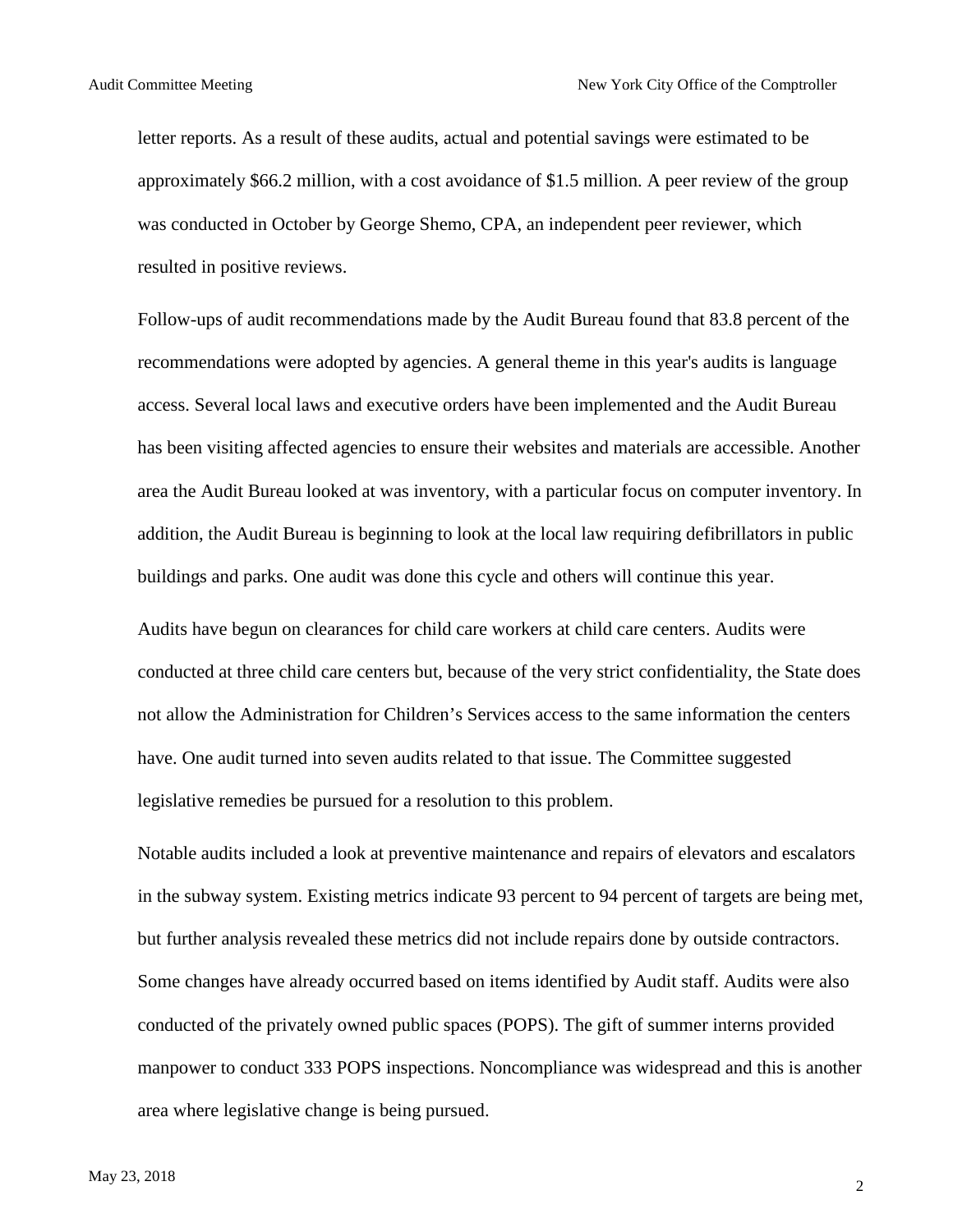letter reports. As a result of these audits, actual and potential savings were estimated to be approximately \$66.2 million, with a cost avoidance of \$1.5 million. A peer review of the group was conducted in October by George Shemo, CPA, an independent peer reviewer, which resulted in positive reviews.

Follow-ups of audit recommendations made by the Audit Bureau found that 83.8 percent of the recommendations were adopted by agencies. A general theme in this year's audits is language access. Several local laws and executive orders have been implemented and the Audit Bureau has been visiting affected agencies to ensure their websites and materials are accessible. Another area the Audit Bureau looked at was inventory, with a particular focus on computer inventory. In addition, the Audit Bureau is beginning to look at the local law requiring defibrillators in public buildings and parks. One audit was done this cycle and others will continue this year.

Audits have begun on clearances for child care workers at child care centers. Audits were conducted at three child care centers but, because of the very strict confidentiality, the State does not allow the Administration for Children's Services access to the same information the centers have. One audit turned into seven audits related to that issue. The Committee suggested legislative remedies be pursued for a resolution to this problem.

Notable audits included a look at preventive maintenance and repairs of elevators and escalators in the subway system. Existing metrics indicate 93 percent to 94 percent of targets are being met, but further analysis revealed these metrics did not include repairs done by outside contractors. Some changes have already occurred based on items identified by Audit staff. Audits were also conducted of the privately owned public spaces (POPS). The gift of summer interns provided manpower to conduct 333 POPS inspections. Noncompliance was widespread and this is another area where legislative change is being pursued.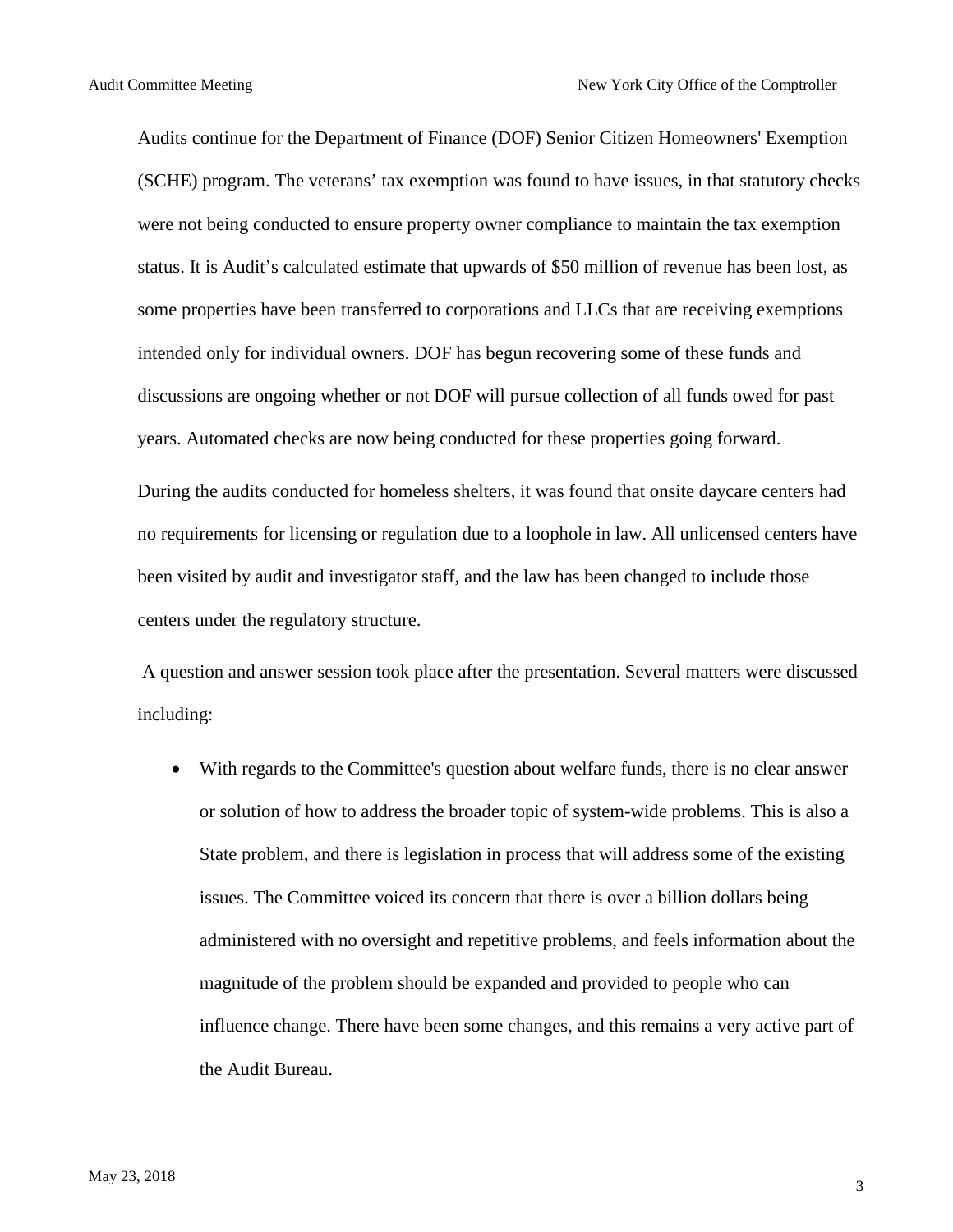Audits continue for the Department of Finance (DOF) Senior Citizen Homeowners' Exemption (SCHE) program. The veterans' tax exemption was found to have issues, in that statutory checks were not being conducted to ensure property owner compliance to maintain the tax exemption status. It is Audit's calculated estimate that upwards of \$50 million of revenue has been lost, as some properties have been transferred to corporations and LLCs that are receiving exemptions intended only for individual owners. DOF has begun recovering some of these funds and discussions are ongoing whether or not DOF will pursue collection of all funds owed for past years. Automated checks are now being conducted for these properties going forward.

During the audits conducted for homeless shelters, it was found that onsite daycare centers had no requirements for licensing or regulation due to a loophole in law. All unlicensed centers have been visited by audit and investigator staff, and the law has been changed to include those centers under the regulatory structure.

A question and answer session took place after the presentation. Several matters were discussed including:

• With regards to the Committee's question about welfare funds, there is no clear answer or solution of how to address the broader topic of system-wide problems. This is also a State problem, and there is legislation in process that will address some of the existing issues. The Committee voiced its concern that there is over a billion dollars being administered with no oversight and repetitive problems, and feels information about the magnitude of the problem should be expanded and provided to people who can influence change. There have been some changes, and this remains a very active part of the Audit Bureau.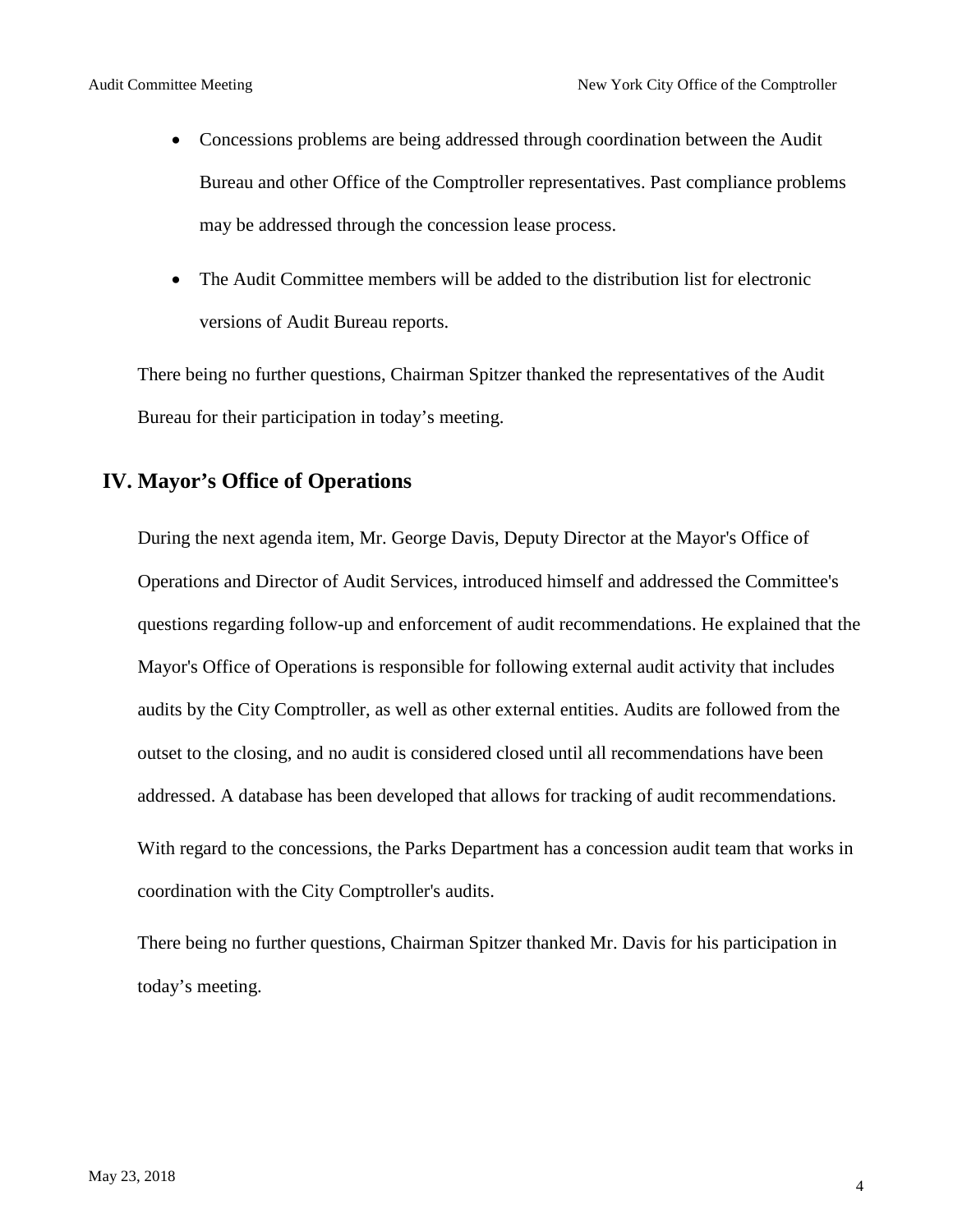- Concessions problems are being addressed through coordination between the Audit Bureau and other Office of the Comptroller representatives. Past compliance problems may be addressed through the concession lease process.
- The Audit Committee members will be added to the distribution list for electronic versions of Audit Bureau reports.

There being no further questions, Chairman Spitzer thanked the representatives of the Audit Bureau for their participation in today's meeting.

### **IV. Mayor's Office of Operations**

During the next agenda item, Mr. George Davis, Deputy Director at the Mayor's Office of Operations and Director of Audit Services, introduced himself and addressed the Committee's questions regarding follow-up and enforcement of audit recommendations. He explained that the Mayor's Office of Operations is responsible for following external audit activity that includes audits by the City Comptroller, as well as other external entities. Audits are followed from the outset to the closing, and no audit is considered closed until all recommendations have been addressed. A database has been developed that allows for tracking of audit recommendations. With regard to the concessions, the Parks Department has a concession audit team that works in coordination with the City Comptroller's audits.

There being no further questions, Chairman Spitzer thanked Mr. Davis for his participation in today's meeting.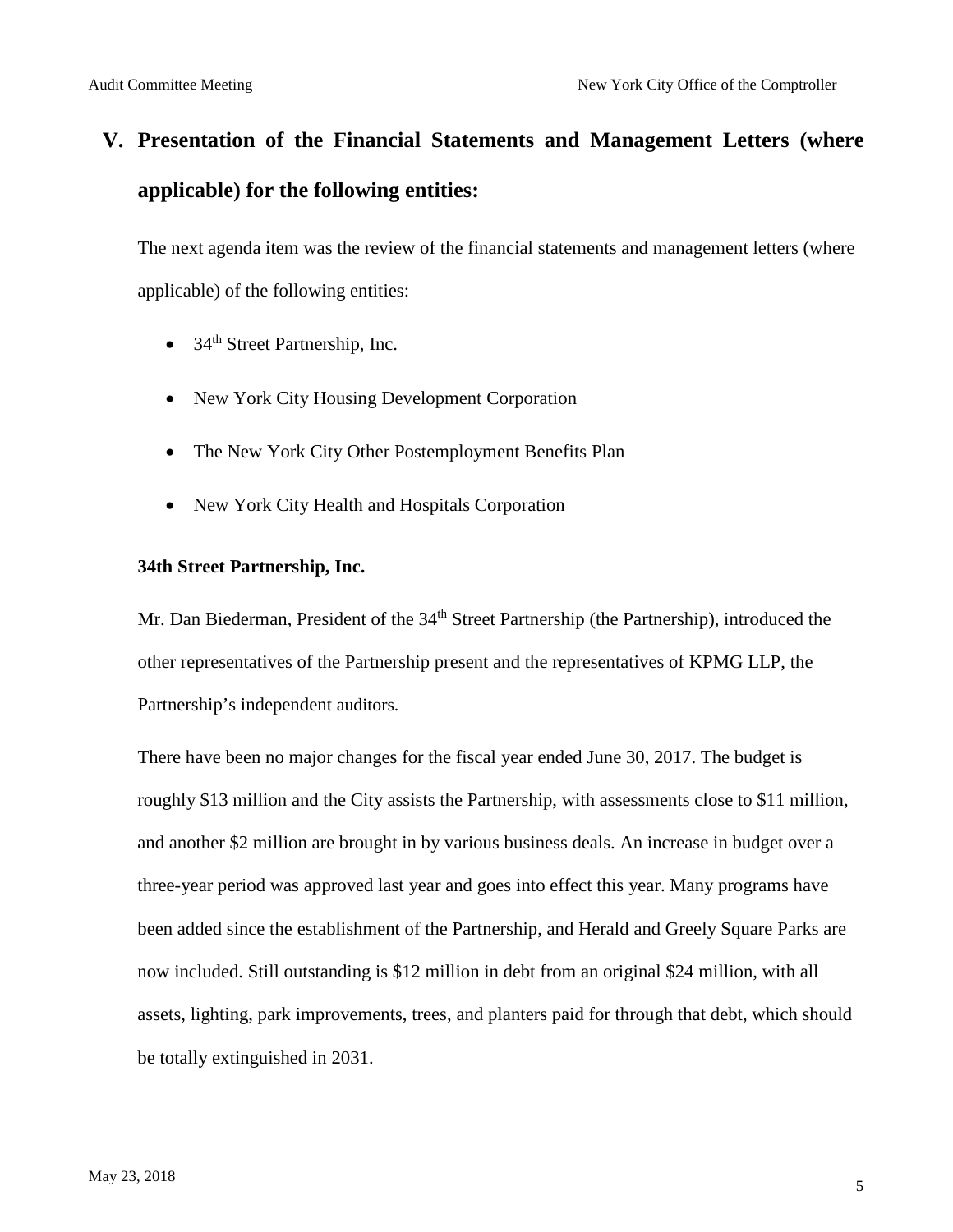# **V. Presentation of the Financial Statements and Management Letters (where applicable) for the following entities:**

The next agenda item was the review of the financial statements and management letters (where applicable) of the following entities:

- $34<sup>th</sup>$  Street Partnership, Inc.
- New York City Housing Development Corporation
- The New York City Other Postemployment Benefits Plan
- New York City Health and Hospitals Corporation

#### **34th Street Partnership, Inc.**

Mr. Dan Biederman, President of the 34<sup>th</sup> Street Partnership (the Partnership), introduced the other representatives of the Partnership present and the representatives of KPMG LLP, the Partnership's independent auditors.

There have been no major changes for the fiscal year ended June 30, 2017. The budget is roughly \$13 million and the City assists the Partnership, with assessments close to \$11 million, and another \$2 million are brought in by various business deals. An increase in budget over a three-year period was approved last year and goes into effect this year. Many programs have been added since the establishment of the Partnership, and Herald and Greely Square Parks are now included. Still outstanding is \$12 million in debt from an original \$24 million, with all assets, lighting, park improvements, trees, and planters paid for through that debt, which should be totally extinguished in 2031.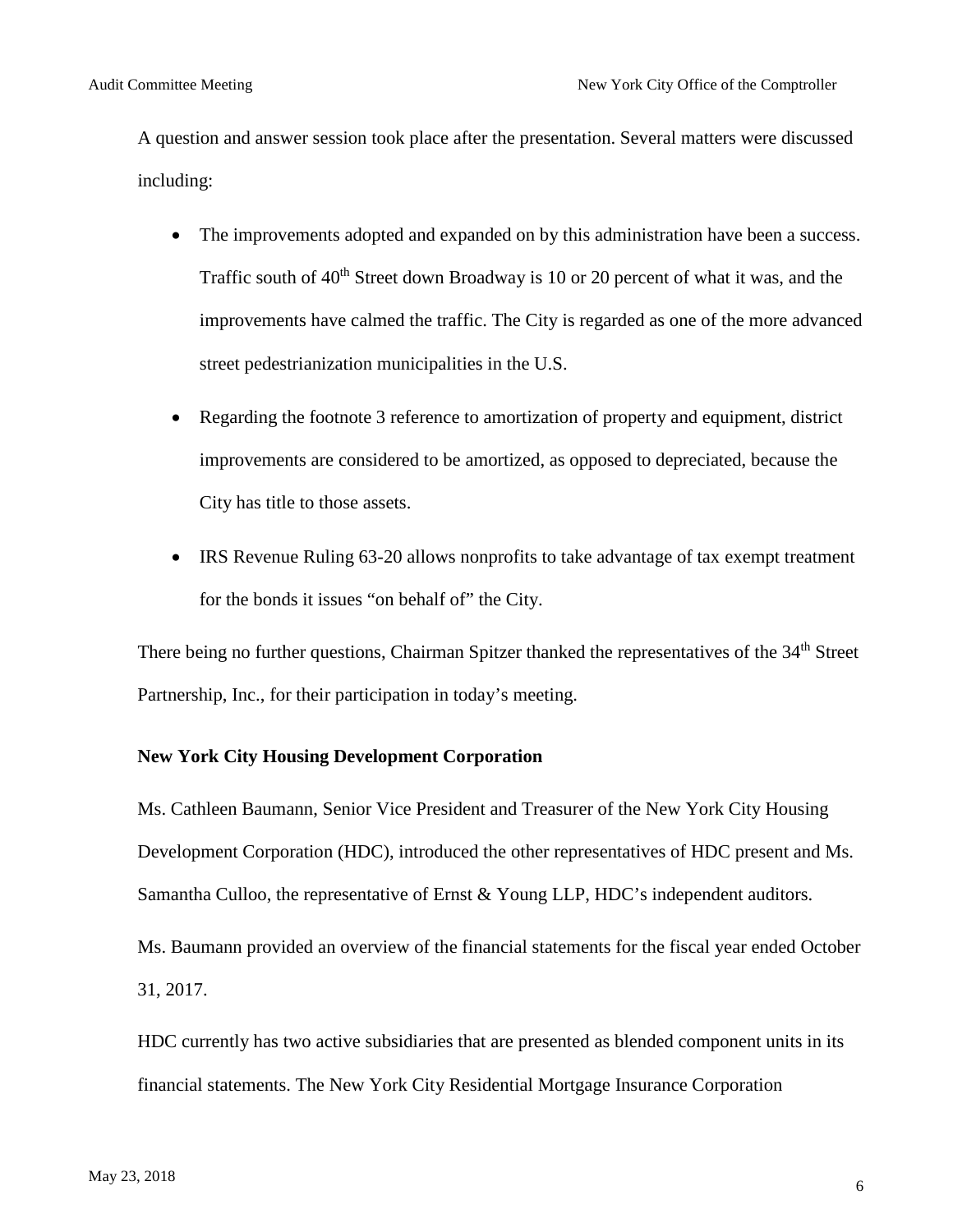A question and answer session took place after the presentation. Several matters were discussed including:

- The improvements adopted and expanded on by this administration have been a success. Traffic south of  $40<sup>th</sup>$  Street down Broadway is 10 or 20 percent of what it was, and the improvements have calmed the traffic. The City is regarded as one of the more advanced street pedestrianization municipalities in the U.S.
- Regarding the footnote 3 reference to amortization of property and equipment, district improvements are considered to be amortized, as opposed to depreciated, because the City has title to those assets.
- IRS Revenue Ruling 63-20 allows nonprofits to take advantage of tax exempt treatment for the bonds it issues "on behalf of" the City.

There being no further questions, Chairman Spitzer thanked the representatives of the 34<sup>th</sup> Street Partnership, Inc., for their participation in today's meeting.

#### **New York City Housing Development Corporation**

Ms. Cathleen Baumann, Senior Vice President and Treasurer of the New York City Housing Development Corporation (HDC), introduced the other representatives of HDC present and Ms. Samantha Culloo, the representative of Ernst & Young LLP, HDC's independent auditors.

Ms. Baumann provided an overview of the financial statements for the fiscal year ended October 31, 2017.

HDC currently has two active subsidiaries that are presented as blended component units in its financial statements. The New York City Residential Mortgage Insurance Corporation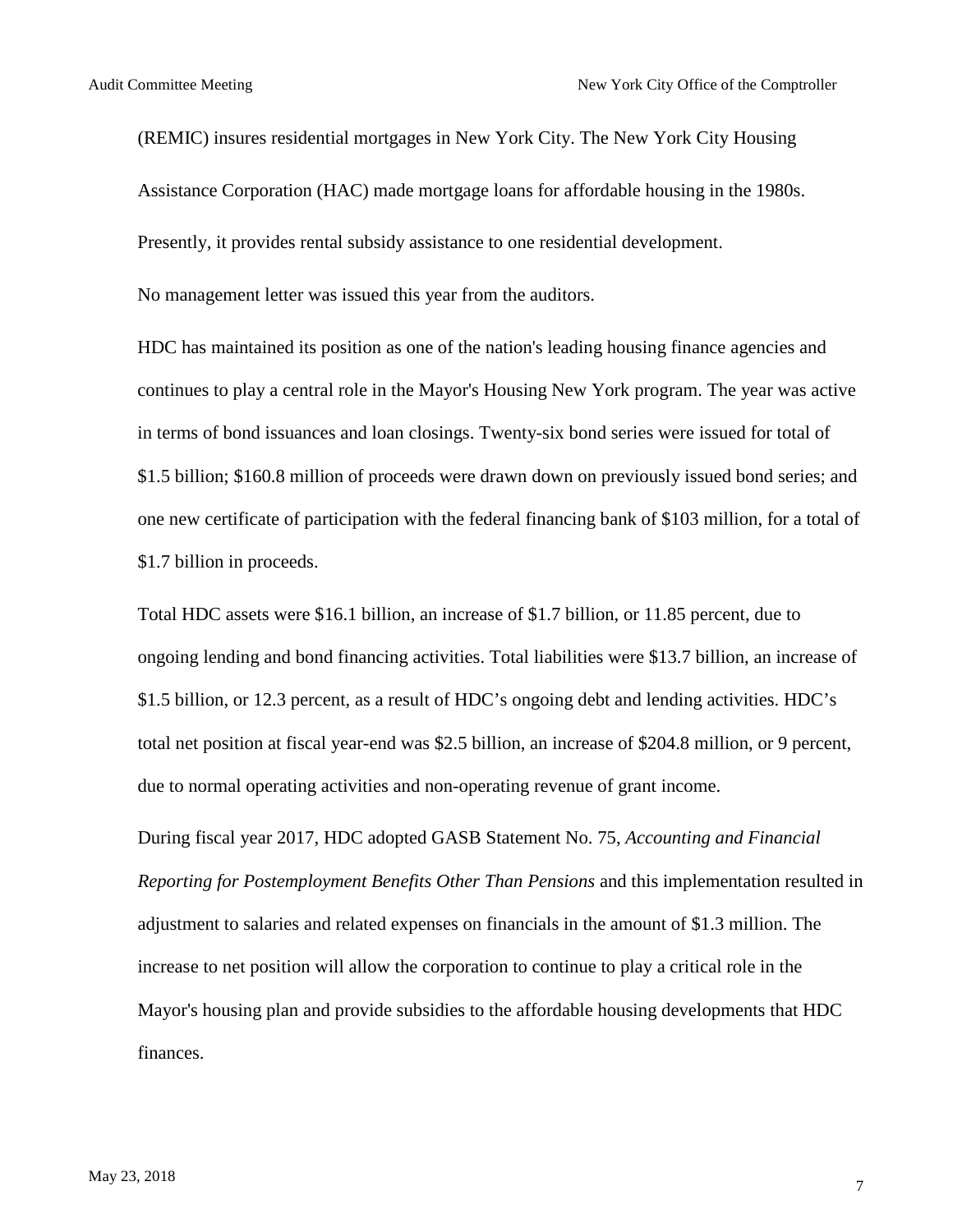(REMIC) insures residential mortgages in New York City. The New York City Housing Assistance Corporation (HAC) made mortgage loans for affordable housing in the 1980s. Presently, it provides rental subsidy assistance to one residential development.

No management letter was issued this year from the auditors.

HDC has maintained its position as one of the nation's leading housing finance agencies and continues to play a central role in the Mayor's Housing New York program. The year was active in terms of bond issuances and loan closings. Twenty-six bond series were issued for total of \$1.5 billion; \$160.8 million of proceeds were drawn down on previously issued bond series; and one new certificate of participation with the federal financing bank of \$103 million, for a total of \$1.7 billion in proceeds.

Total HDC assets were \$16.1 billion, an increase of \$1.7 billion, or 11.85 percent, due to ongoing lending and bond financing activities. Total liabilities were \$13.7 billion, an increase of \$1.5 billion, or 12.3 percent, as a result of HDC's ongoing debt and lending activities. HDC's total net position at fiscal year-end was \$2.5 billion, an increase of \$204.8 million, or 9 percent, due to normal operating activities and non-operating revenue of grant income.

During fiscal year 2017, HDC adopted GASB Statement No. 75, *Accounting and Financial Reporting for Postemployment Benefits Other Than Pensions* and this implementation resulted in adjustment to salaries and related expenses on financials in the amount of \$1.3 million. The increase to net position will allow the corporation to continue to play a critical role in the Mayor's housing plan and provide subsidies to the affordable housing developments that HDC finances.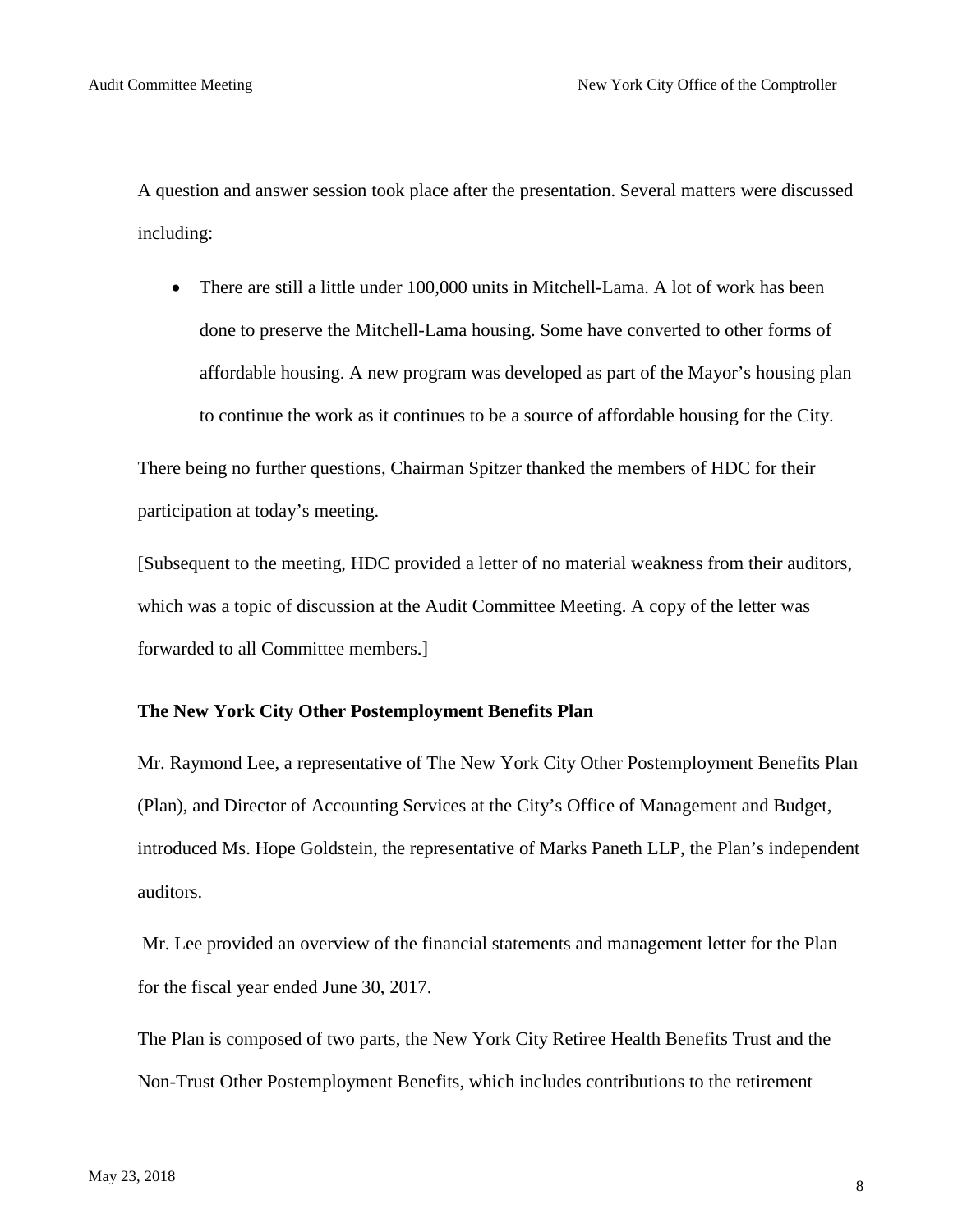A question and answer session took place after the presentation. Several matters were discussed including:

• There are still a little under 100,000 units in Mitchell-Lama. A lot of work has been done to preserve the Mitchell-Lama housing. Some have converted to other forms of affordable housing. A new program was developed as part of the Mayor's housing plan to continue the work as it continues to be a source of affordable housing for the City.

There being no further questions, Chairman Spitzer thanked the members of HDC for their participation at today's meeting.

[Subsequent to the meeting, HDC provided a letter of no material weakness from their auditors, which was a topic of discussion at the Audit Committee Meeting. A copy of the letter was forwarded to all Committee members.]

#### **The New York City Other Postemployment Benefits Plan**

Mr. Raymond Lee, a representative of The New York City Other Postemployment Benefits Plan (Plan), and Director of Accounting Services at the City's Office of Management and Budget, introduced Ms. Hope Goldstein, the representative of Marks Paneth LLP, the Plan's independent auditors.

Mr. Lee provided an overview of the financial statements and management letter for the Plan for the fiscal year ended June 30, 2017.

The Plan is composed of two parts, the New York City Retiree Health Benefits Trust and the Non-Trust Other Postemployment Benefits, which includes contributions to the retirement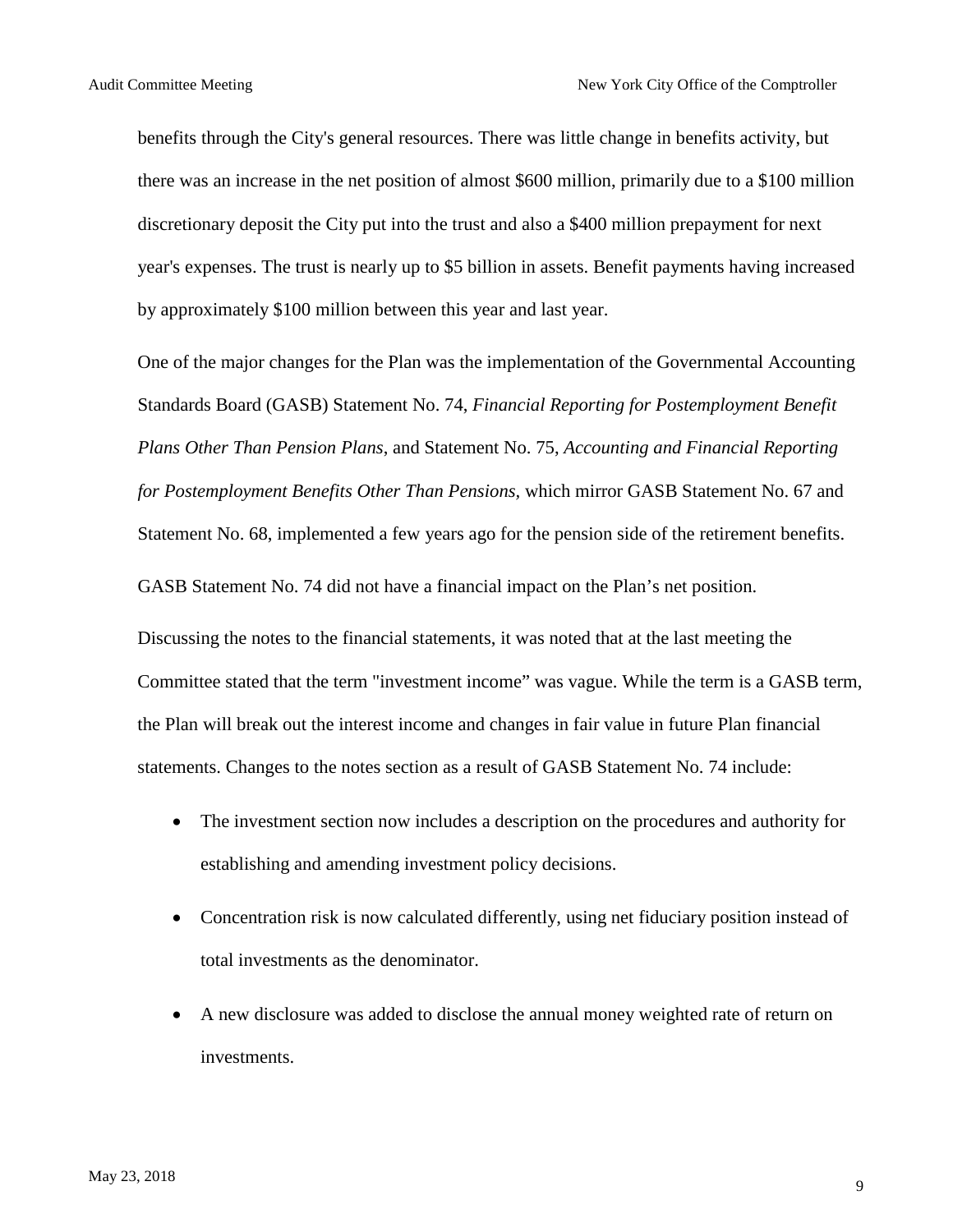benefits through the City's general resources. There was little change in benefits activity, but there was an increase in the net position of almost \$600 million, primarily due to a \$100 million discretionary deposit the City put into the trust and also a \$400 million prepayment for next year's expenses. The trust is nearly up to \$5 billion in assets. Benefit payments having increased by approximately \$100 million between this year and last year.

One of the major changes for the Plan was the implementation of the Governmental Accounting Standards Board (GASB) Statement No. 74, *Financial Reporting for Postemployment Benefit Plans Other Than Pension Plans*, and Statement No. 75, *Accounting and Financial Reporting for Postemployment Benefits Other Than Pensions,* which mirror GASB Statement No. 67 and Statement No. 68, implemented a few years ago for the pension side of the retirement benefits.

GASB Statement No. 74 did not have a financial impact on the Plan's net position.

Discussing the notes to the financial statements, it was noted that at the last meeting the Committee stated that the term "investment income" was vague. While the term is a GASB term, the Plan will break out the interest income and changes in fair value in future Plan financial statements. Changes to the notes section as a result of GASB Statement No. 74 include:

- The investment section now includes a description on the procedures and authority for establishing and amending investment policy decisions.
- Concentration risk is now calculated differently, using net fiduciary position instead of total investments as the denominator.
- A new disclosure was added to disclose the annual money weighted rate of return on investments.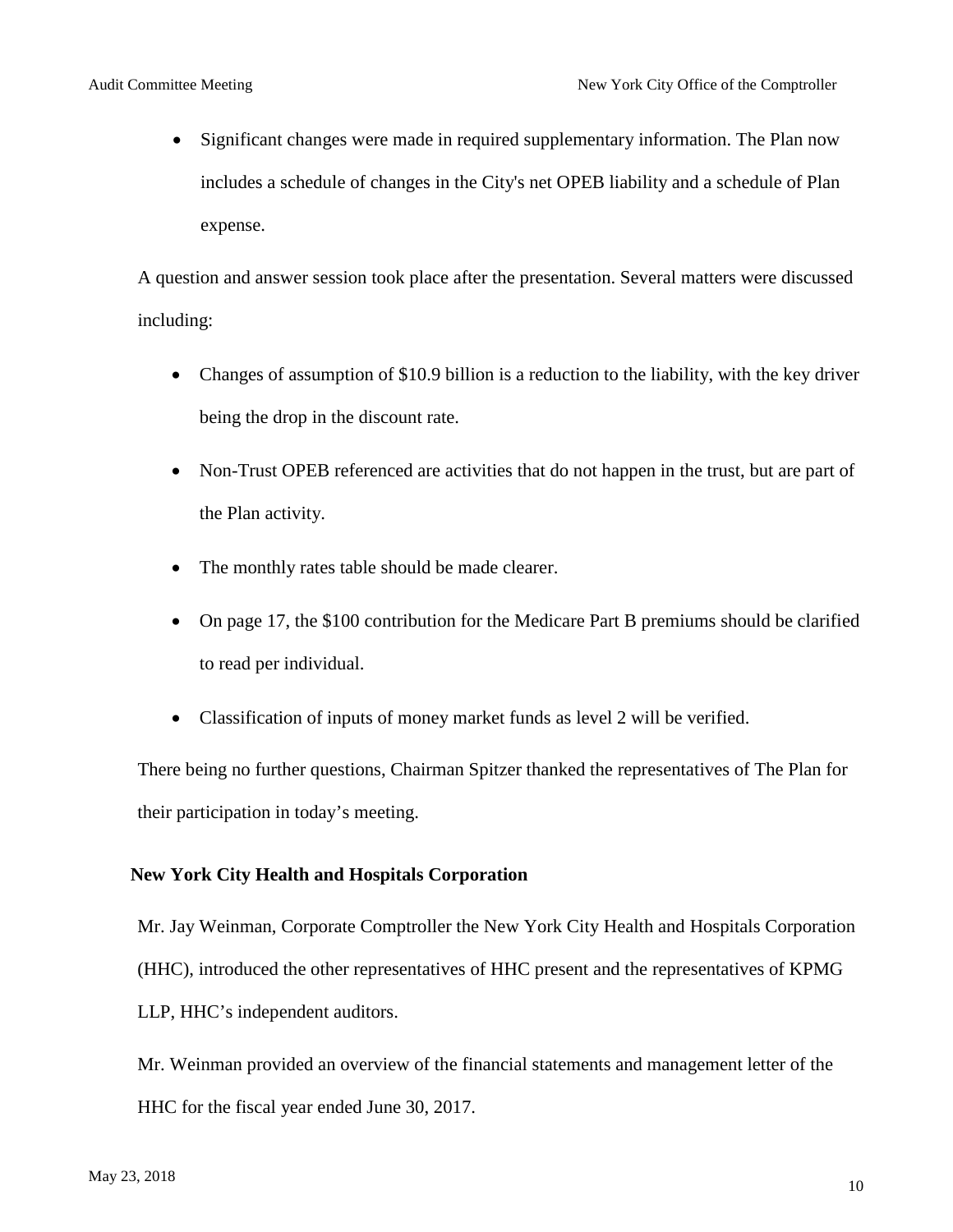• Significant changes were made in required supplementary information. The Plan now includes a schedule of changes in the City's net OPEB liability and a schedule of Plan expense.

A question and answer session took place after the presentation. Several matters were discussed including:

- Changes of assumption of \$10.9 billion is a reduction to the liability, with the key driver being the drop in the discount rate.
- Non-Trust OPEB referenced are activities that do not happen in the trust, but are part of the Plan activity.
- The monthly rates table should be made clearer.
- On page 17, the \$100 contribution for the Medicare Part B premiums should be clarified to read per individual.
- Classification of inputs of money market funds as level 2 will be verified.

There being no further questions, Chairman Spitzer thanked the representatives of The Plan for their participation in today's meeting.

#### **New York City Health and Hospitals Corporation**

Mr. Jay Weinman, Corporate Comptroller the New York City Health and Hospitals Corporation (HHC), introduced the other representatives of HHC present and the representatives of KPMG LLP, HHC's independent auditors.

Mr. Weinman provided an overview of the financial statements and management letter of the HHC for the fiscal year ended June 30, 2017.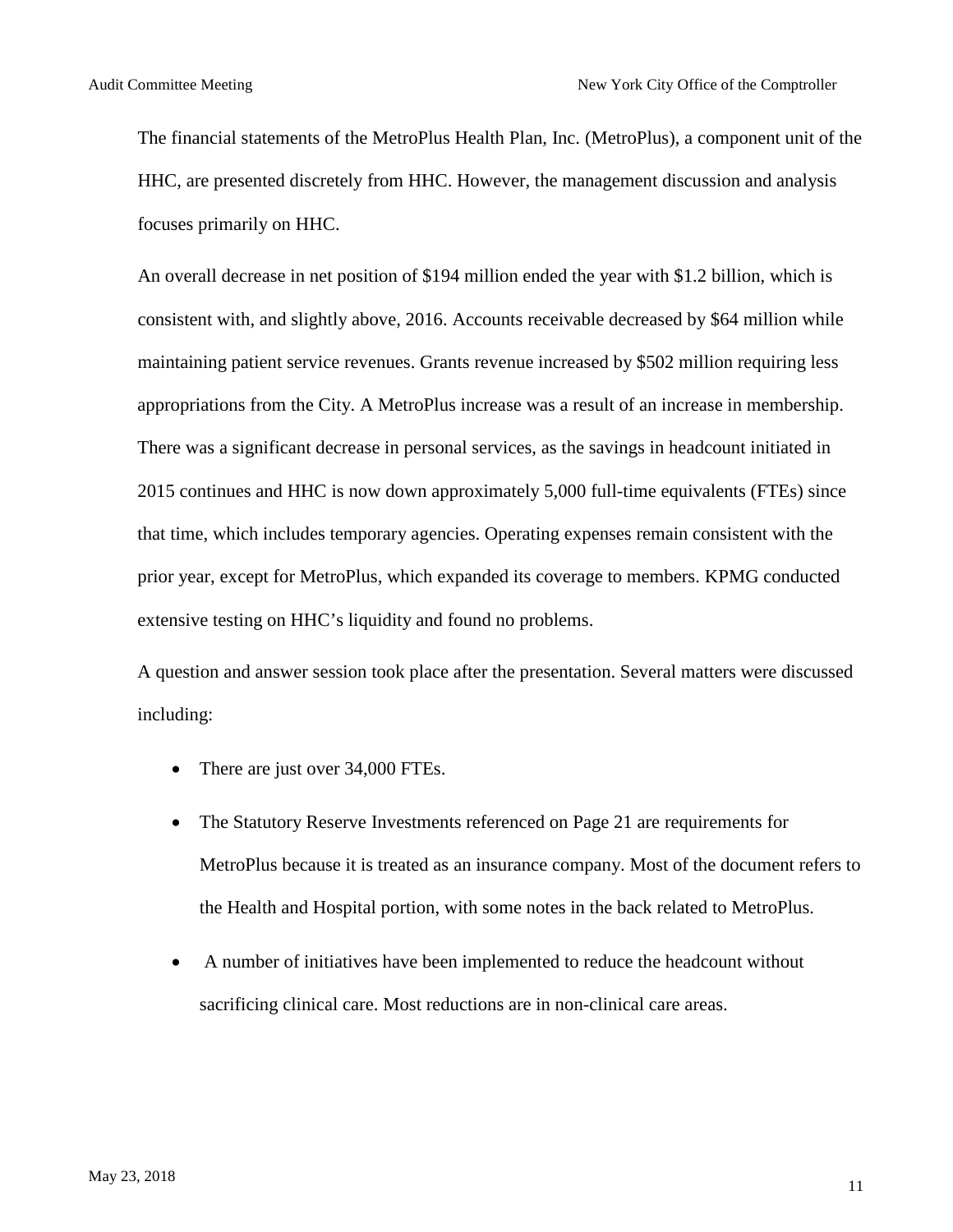The financial statements of the MetroPlus Health Plan, Inc. (MetroPlus), a component unit of the HHC, are presented discretely from HHC. However, the management discussion and analysis focuses primarily on HHC.

An overall decrease in net position of \$194 million ended the year with \$1.2 billion, which is consistent with, and slightly above, 2016. Accounts receivable decreased by \$64 million while maintaining patient service revenues. Grants revenue increased by \$502 million requiring less appropriations from the City. A MetroPlus increase was a result of an increase in membership. There was a significant decrease in personal services, as the savings in headcount initiated in 2015 continues and HHC is now down approximately 5,000 full-time equivalents (FTEs) since that time, which includes temporary agencies. Operating expenses remain consistent with the prior year, except for MetroPlus, which expanded its coverage to members. KPMG conducted extensive testing on HHC's liquidity and found no problems.

A question and answer session took place after the presentation. Several matters were discussed including:

- There are just over 34,000 FTEs.
- The Statutory Reserve Investments referenced on Page 21 are requirements for MetroPlus because it is treated as an insurance company. Most of the document refers to the Health and Hospital portion, with some notes in the back related to MetroPlus.
- A number of initiatives have been implemented to reduce the headcount without sacrificing clinical care. Most reductions are in non-clinical care areas.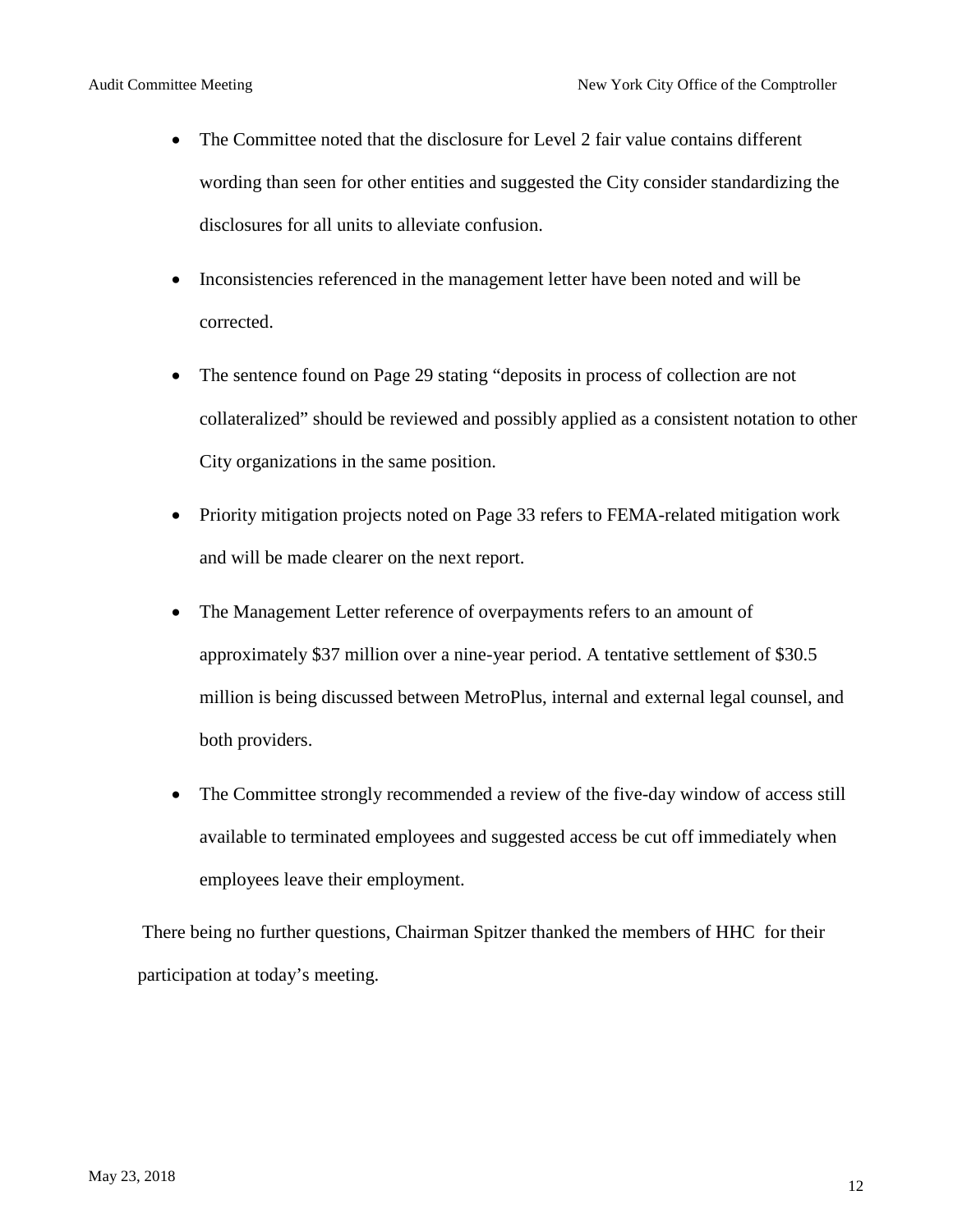- The Committee noted that the disclosure for Level 2 fair value contains different wording than seen for other entities and suggested the City consider standardizing the disclosures for all units to alleviate confusion.
- Inconsistencies referenced in the management letter have been noted and will be corrected.
- The sentence found on Page 29 stating "deposits in process of collection are not collateralized" should be reviewed and possibly applied as a consistent notation to other City organizations in the same position.
- Priority mitigation projects noted on Page 33 refers to FEMA-related mitigation work and will be made clearer on the next report.
- The Management Letter reference of overpayments refers to an amount of approximately \$37 million over a nine-year period. A tentative settlement of \$30.5 million is being discussed between MetroPlus, internal and external legal counsel, and both providers.
- The Committee strongly recommended a review of the five-day window of access still available to terminated employees and suggested access be cut off immediately when employees leave their employment.

There being no further questions, Chairman Spitzer thanked the members of HHC for their participation at today's meeting.